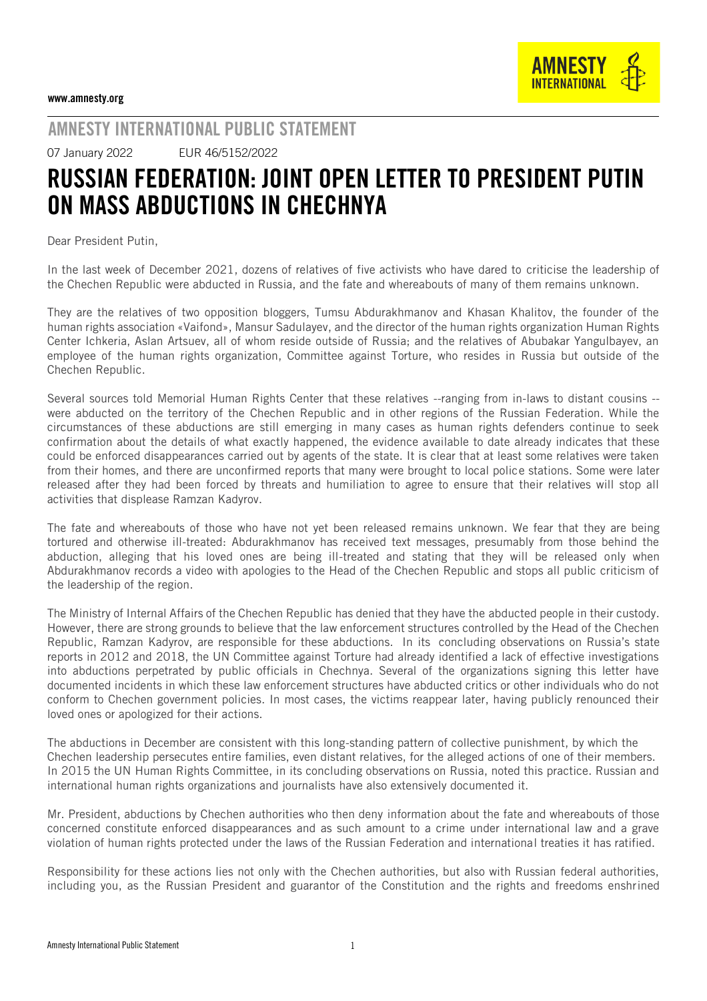## AMNESTY INTERNATIONAL PUBLIC STATEMENT

07 January 2022 EUR 46/5152/2022

## RUSSIAN FEDERATION: JOINT OPEN LETTER TO PRESIDENT PUTIN ON MASS ABDUCTIONS IN CHECHNYA

Dear President Putin,

In the last week of December 2021, dozens of relatives of five activists who have dared to criticise the leadership of the Chechen Republic were abducted in Russia, and the fate and whereabouts of many of them remains unknown.

They are the relatives of two opposition bloggers, Tumsu Abdurakhmanov and Khasan Khalitov, the founder of the human rights association «Vaifond», Mansur Sadulayev, and the director of the human rights organization Human Rights Center Ichkeria, Aslan Artsuev, all of whom reside outside of Russia; and the relatives of Abubakar Yangulbayev, an employee of the human rights organization, Committee against Torture, who resides in Russia but outside of the Chechen Republic.

Several sources told Memorial Human Rights Center that these relatives --ranging from in-laws to distant cousins - were abducted on the territory of the Chechen Republic and in other regions of the Russian Federation. While the circumstances of these abductions are still emerging in many cases as human rights defenders continue to seek confirmation about the details of what exactly happened, the evidence available to date already indicates that these could be enforced disappearances carried out by agents of the state. It is clear that at least some relatives were taken from their homes, and there are unconfirmed reports that many were brought to local police stations. Some were later released after they had been forced by threats and humiliation to agree to ensure that their relatives will stop all activities that displease Ramzan Kadyrov.

The fate and whereabouts of those who have not yet been released remains unknown. We fear that they are being tortured and otherwise ill-treated: Abdurakhmanov has received text messages, presumably from those behind the abduction, alleging that his loved ones are being ill-treated and stating that they will be released only when Abdurakhmanov records a video with apologies to the Head of the Chechen Republic and stops all public criticism of the leadership of the region.

The Ministry of Internal Affairs of the Chechen Republic has denied that they have the abducted people in their custody. However, there are strong grounds to believe that the law enforcement structures controlled by the Head of the Chechen Republic, Ramzan Kadyrov, are responsible for these abductions. In its concluding observations on Russia's state reports in 2012 and 2018, the UN Committee against Torture had already identified a lack of effective investigations into abductions perpetrated by public officials in Chechnya. Several of the organizations signing this letter have documented incidents in which these law enforcement structures have abducted critics or other individuals who do not conform to Chechen government policies. In most cases, the victims reappear later, having publicly renounced their loved ones or apologized for their actions.

The abductions in December are consistent with this long-standing pattern of collective punishment, by which the Chechen leadership persecutes entire families, even distant relatives, for the alleged actions of one of their members. In 2015 the UN Human Rights Committee, in its concluding observations on Russia, noted this practice. Russian and international human rights organizations and journalists have also extensively documented it.

Mr. President, abductions by Chechen authorities who then deny information about the fate and whereabouts of those concerned constitute enforced disappearances and as such amount to a crime under international law and a grave violation of human rights protected under the laws of the Russian Federation and international treaties it has ratified.

Responsibility for these actions lies not only with the Chechen authorities, but also with Russian federal authorities, including you, as the Russian President and guarantor of the Constitution and the rights and freedoms enshrined